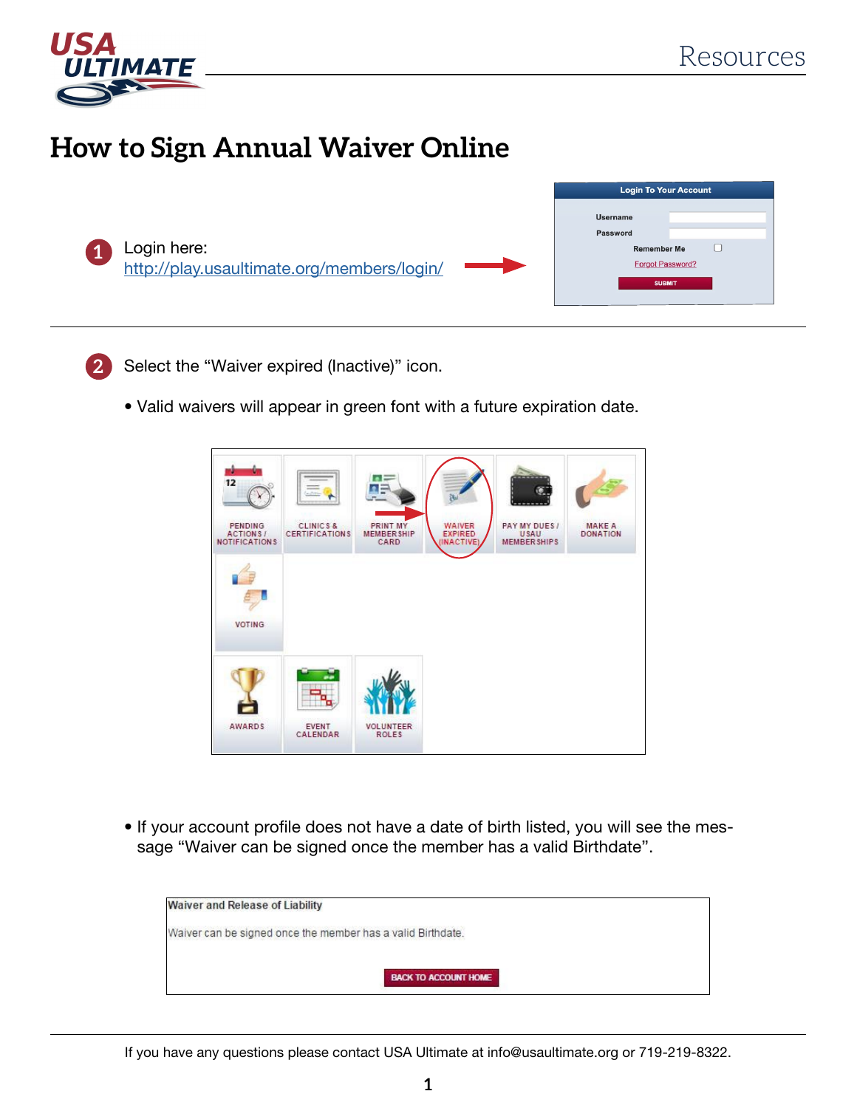

## **How to Sign Annual Waiver Online**





Select the "Waiver expired (Inactive)" icon.

• Valid waivers will appear in green font with a future expiration date.



• If your account profile does not have a date of birth listed, you will see the message "Waiver can be signed once the member has a valid Birthdate".

| <b>Waiver and Release of Liability</b>                      |                             |  |
|-------------------------------------------------------------|-----------------------------|--|
| Waiver can be signed once the member has a valid Birthdate. |                             |  |
|                                                             | <b>BACK TO ACCOUNT HOME</b> |  |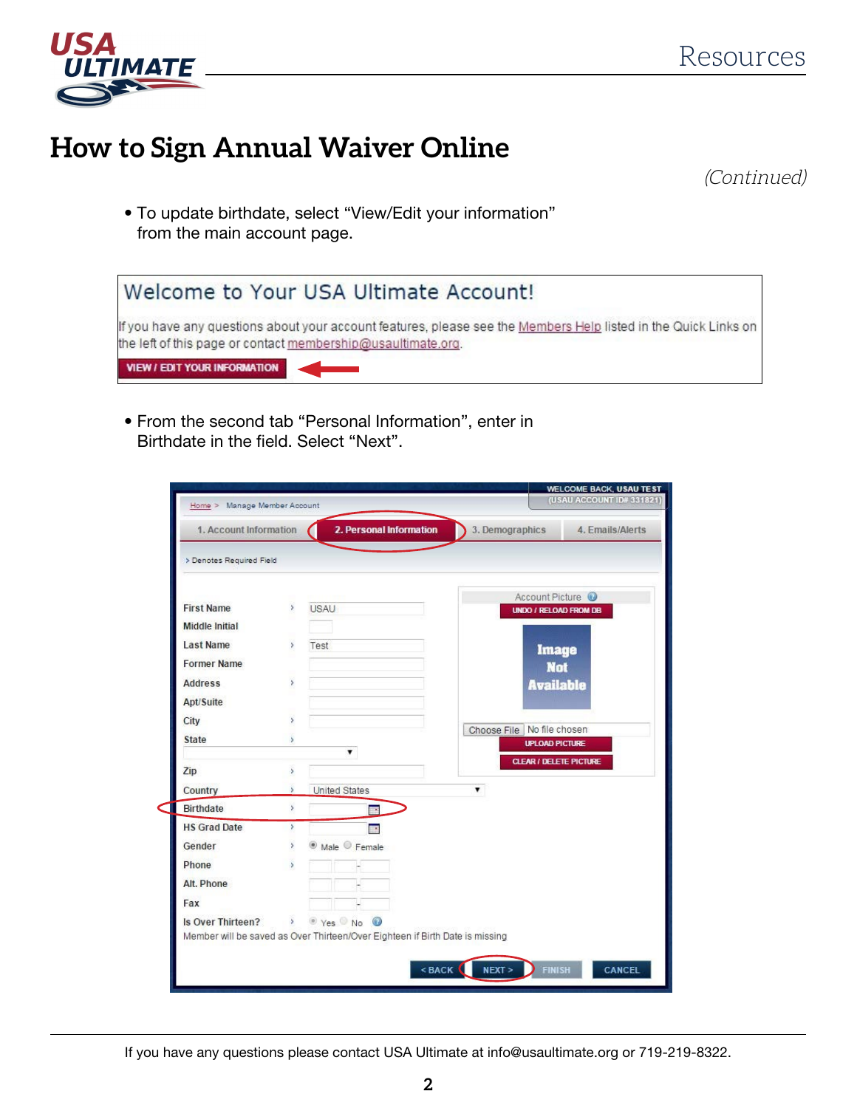

## **How to Sign Annual Waiver Online**

(Continued)

• To update birthdate, select "View/Edit your information" from the main account page.



• From the second tab "Personal Information", enter in Birthdate in the field. Select "Next".

| 1. Account Information   |                             | 2. Personal Information                                                      | 3. Demographics            |                       | 4. Emails/Alerts              |
|--------------------------|-----------------------------|------------------------------------------------------------------------------|----------------------------|-----------------------|-------------------------------|
| > Denotes Required Field |                             |                                                                              |                            |                       |                               |
| <b>First Name</b>        | $\,$                        | <b>USAU</b>                                                                  |                            | Account Picture @     | <b>UNDO / RELOAD FROM DB</b>  |
| <b>Middle Initial</b>    |                             |                                                                              |                            |                       |                               |
| <b>Last Name</b>         | s                           | Test                                                                         |                            | <b>Image</b>          |                               |
| <b>Former Name</b>       |                             |                                                                              |                            | <b>Not</b>            |                               |
| <b>Address</b>           | s.                          |                                                                              |                            | <b>Available</b>      |                               |
| Apt/Suite                |                             |                                                                              |                            |                       |                               |
| City                     | s                           |                                                                              |                            |                       |                               |
| State                    |                             |                                                                              | Choose File No file chosen | <b>UPLOAD PICTURE</b> |                               |
|                          |                             | ۷.                                                                           |                            |                       | <b>CLEAR / DELETE PICTURE</b> |
| Zip                      | š                           |                                                                              |                            |                       |                               |
| Country                  | s                           | United States                                                                | $\mathbf{v}$               |                       |                               |
| Birthdate                | s.                          | <b>HIGH</b>                                                                  |                            |                       |                               |
| <b>HS Grad Date</b>      | $\mathbf{S}$                | <b>REG</b>                                                                   |                            |                       |                               |
| Gender                   | r                           | <sup>®</sup> Male <sup>©</sup> Female                                        |                            |                       |                               |
| Phone                    | s                           |                                                                              |                            |                       |                               |
| Alt. Phone               |                             |                                                                              |                            |                       |                               |
| Fax                      |                             |                                                                              |                            |                       |                               |
| Is Over Thirteen?        | $\mathcal{L}_{\mathcal{L}}$ | Ves No O                                                                     |                            |                       |                               |
|                          |                             | Member will be saved as Over Thirteen/Over Eighteen if Birth Date is missing |                            |                       |                               |